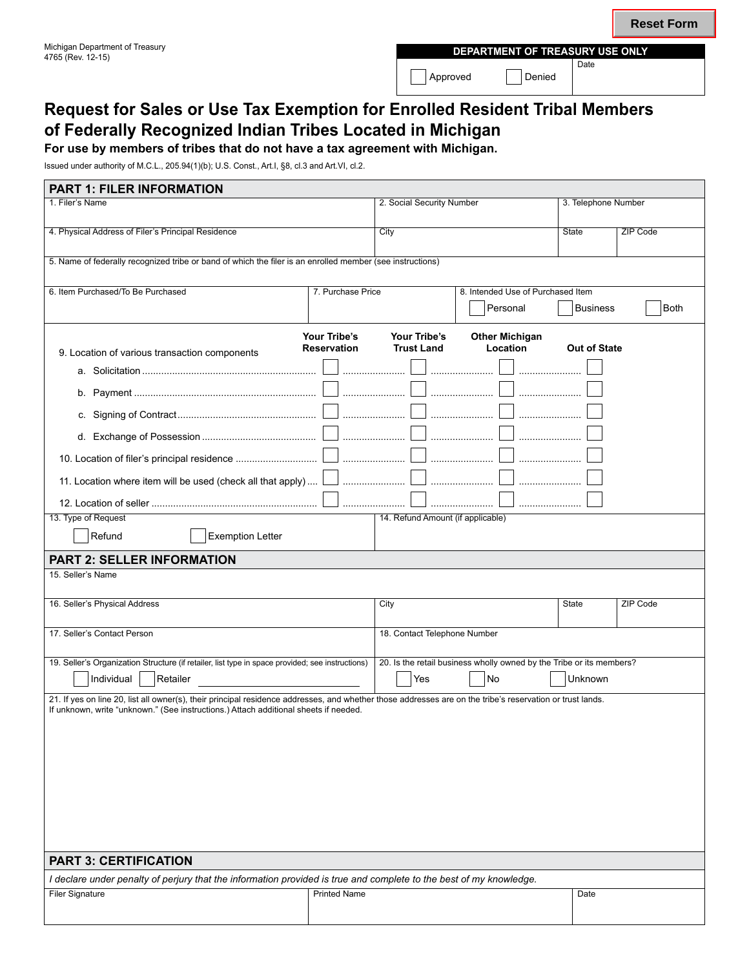# **Request for Sales or Use Tax Exemption for Enrolled Resident Tribal Members of Federally Recognized Indian Tribes Located in Michigan**

**For use by members of tribes that do not have a tax agreement with Michigan.**

Issued under authority of M.C.L., 205.94(1)(b); U.S. Const., Art.I, §8, cl.3 and Art.VI, cl.2.

| <b>PART 1: FILER INFORMATION</b>                                                                                                                                                                                                                  |                     |                                               |  |                     |                 |
|---------------------------------------------------------------------------------------------------------------------------------------------------------------------------------------------------------------------------------------------------|---------------------|-----------------------------------------------|--|---------------------|-----------------|
| 1. Filer's Name                                                                                                                                                                                                                                   |                     | 2. Social Security Number                     |  | 3. Telephone Number |                 |
| 4. Physical Address of Filer's Principal Residence                                                                                                                                                                                                |                     | City                                          |  | State               | <b>ZIP Code</b> |
| 5. Name of federally recognized tribe or band of which the filer is an enrolled member (see instructions)                                                                                                                                         |                     |                                               |  |                     |                 |
| 6. Item Purchased/To Be Purchased<br>7. Purchase Price                                                                                                                                                                                            |                     | 8. Intended Use of Purchased Item<br>Personal |  | Business<br>Both    |                 |
|                                                                                                                                                                                                                                                   |                     |                                               |  |                     |                 |
|                                                                                                                                                                                                                                                   |                     |                                               |  |                     |                 |
|                                                                                                                                                                                                                                                   |                     |                                               |  |                     |                 |
|                                                                                                                                                                                                                                                   |                     |                                               |  |                     |                 |
|                                                                                                                                                                                                                                                   |                     |                                               |  |                     |                 |
|                                                                                                                                                                                                                                                   |                     |                                               |  |                     |                 |
| 11. Location where item will be used (check all that apply) $\lfloor$                                                                                                                                                                             |                     |                                               |  |                     |                 |
|                                                                                                                                                                                                                                                   |                     |                                               |  |                     |                 |
| 13. Type of Request<br>14. Refund Amount (if applicable)                                                                                                                                                                                          |                     |                                               |  |                     |                 |
| Refund<br><b>Exemption Letter</b>                                                                                                                                                                                                                 |                     |                                               |  |                     |                 |
| <b>PART 2: SELLER INFORMATION</b>                                                                                                                                                                                                                 |                     |                                               |  |                     |                 |
| 15. Seller's Name                                                                                                                                                                                                                                 |                     |                                               |  |                     |                 |
| 16. Seller's Physical Address                                                                                                                                                                                                                     |                     | City                                          |  | State               | ZIP Code        |
| 17. Seller's Contact Person<br>18. Contact Telephone Number                                                                                                                                                                                       |                     |                                               |  |                     |                 |
| 19. Seller's Organization Structure (if retailer, list type in space provided; see instructions)<br>20. Is the retail business wholly owned by the Tribe or its members?                                                                          |                     |                                               |  |                     |                 |
| Individual<br>Retailer                                                                                                                                                                                                                            |                     | No<br>Yes                                     |  | Unknown             |                 |
| 21. If yes on line 20, list all owner(s), their principal residence addresses, and whether those addresses are on the tribe's reservation or trust lands.<br>If unknown, write "unknown." (See instructions.) Attach additional sheets if needed. |                     |                                               |  |                     |                 |
|                                                                                                                                                                                                                                                   |                     |                                               |  |                     |                 |
|                                                                                                                                                                                                                                                   |                     |                                               |  |                     |                 |
|                                                                                                                                                                                                                                                   |                     |                                               |  |                     |                 |
|                                                                                                                                                                                                                                                   |                     |                                               |  |                     |                 |
|                                                                                                                                                                                                                                                   |                     |                                               |  |                     |                 |
|                                                                                                                                                                                                                                                   |                     |                                               |  |                     |                 |
|                                                                                                                                                                                                                                                   |                     |                                               |  |                     |                 |
| <b>PART 3: CERTIFICATION</b>                                                                                                                                                                                                                      |                     |                                               |  |                     |                 |
| I declare under penalty of perjury that the information provided is true and complete to the best of my knowledge.                                                                                                                                |                     |                                               |  |                     |                 |
| <b>Filer Signature</b>                                                                                                                                                                                                                            | <b>Printed Name</b> |                                               |  | Date                |                 |
|                                                                                                                                                                                                                                                   |                     |                                               |  |                     |                 |